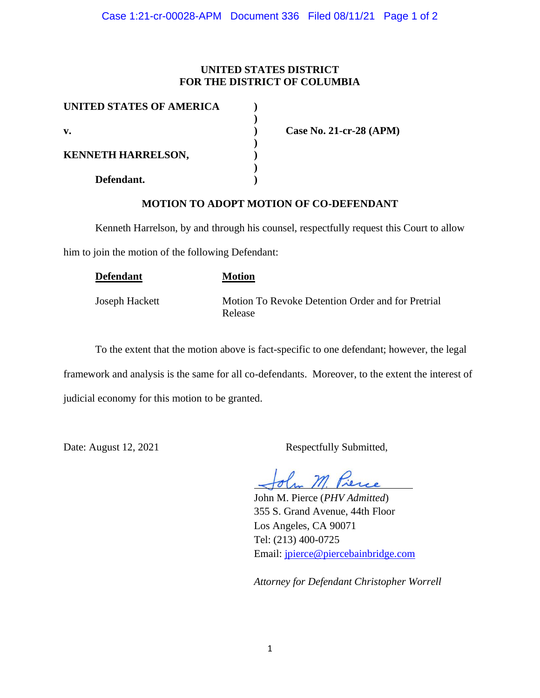## **UNITED STATES DISTRICT FOR THE DISTRICT OF COLUMBIA**

| UNITED STATES OF AMERICA  |  |
|---------------------------|--|
|                           |  |
| v.                        |  |
|                           |  |
| <b>KENNETH HARRELSON,</b> |  |
|                           |  |
| Defendant.                |  |

**v. ) Case No. 21-cr-28 (APM)**

## **MOTION TO ADOPT MOTION OF CO-DEFENDANT**

Kenneth Harrelson, by and through his counsel, respectfully request this Court to allow

him to join the motion of the following Defendant:

| <b>Defendant</b> | <b>Motion</b>                                                |
|------------------|--------------------------------------------------------------|
| Joseph Hackett   | Motion To Revoke Detention Order and for Pretrial<br>Release |

To the extent that the motion above is fact-specific to one defendant; however, the legal framework and analysis is the same for all co-defendants. Moreover, to the extent the interest of judicial economy for this motion to be granted.

Date: August 12, 2021 Respectfully Submitted,

John M. Pierce (*PHV Admitted*) 355 S. Grand Avenue, 44th Floor Los Angeles, CA 90071 Tel: (213) 400-0725 Email: jpierce@piercebainbridge.com

*Attorney for Defendant Christopher Worrell*